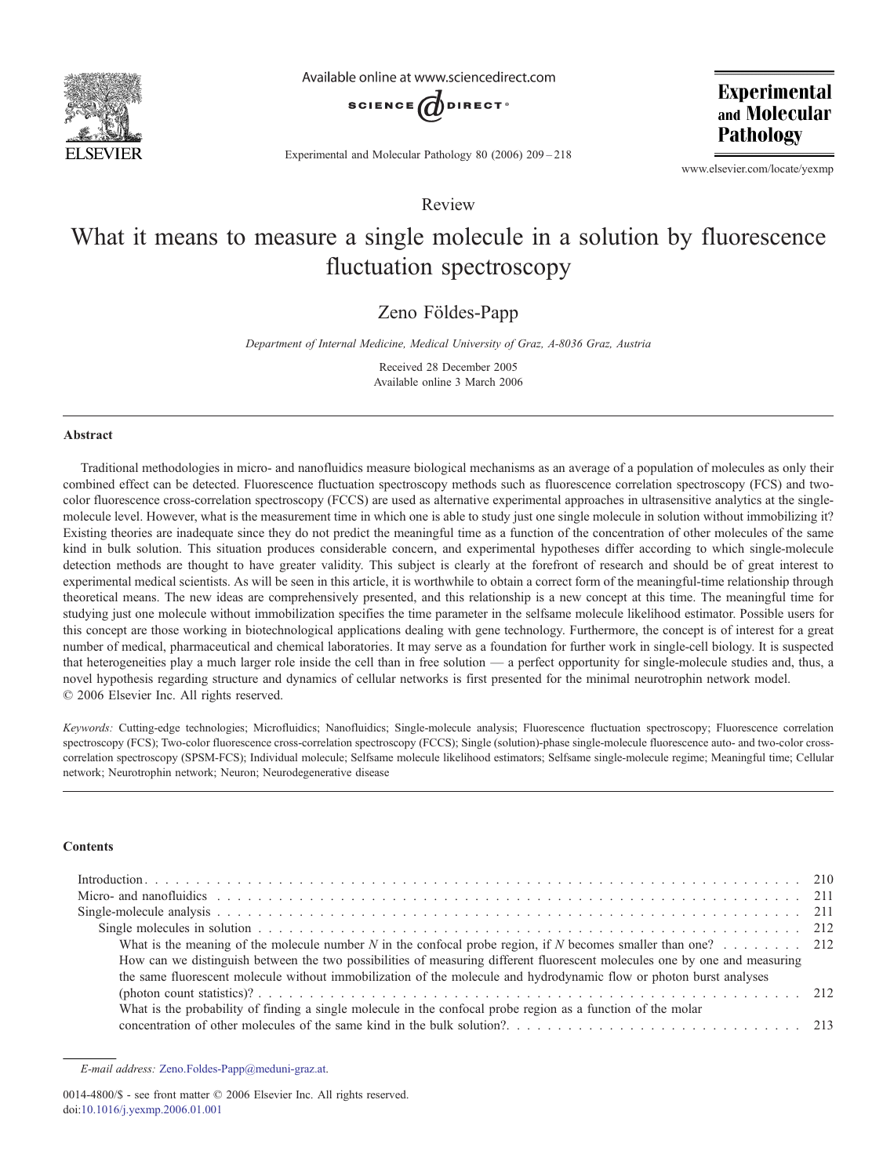

Available online at www.sciencedirect.com



**Experimental** and Molecular **Pathology** 

Experimental and Molecular Pathology 80 (2006) 209–218

www.elsevier.com/locate/yexmp

# Review

# What it means to measure a single molecule in a solution by fluorescence fluctuation spectroscopy

Zeno Földes-Papp

Department of Internal Medicine, Medical University of Graz, A-8036 Graz, Austria

Received 28 December 2005 Available online 3 March 2006

#### Abstract

Traditional methodologies in micro- and nanofluidics measure biological mechanisms as an average of a population of molecules as only their combined effect can be detected. Fluorescence fluctuation spectroscopy methods such as fluorescence correlation spectroscopy (FCS) and twocolor fluorescence cross-correlation spectroscopy (FCCS) are used as alternative experimental approaches in ultrasensitive analytics at the singlemolecule level. However, what is the measurement time in which one is able to study just one single molecule in solution without immobilizing it? Existing theories are inadequate since they do not predict the meaningful time as a function of the concentration of other molecules of the same kind in bulk solution. This situation produces considerable concern, and experimental hypotheses differ according to which single-molecule detection methods are thought to have greater validity. This subject is clearly at the forefront of research and should be of great interest to experimental medical scientists. As will be seen in this article, it is worthwhile to obtain a correct form of the meaningful-time relationship through theoretical means. The new ideas are comprehensively presented, and this relationship is a new concept at this time. The meaningful time for studying just one molecule without immobilization specifies the time parameter in the selfsame molecule likelihood estimator. Possible users for this concept are those working in biotechnological applications dealing with gene technology. Furthermore, the concept is of interest for a great number of medical, pharmaceutical and chemical laboratories. It may serve as a foundation for further work in single-cell biology. It is suspected that heterogeneities play a much larger role inside the cell than in free solution — a perfect opportunity for single-molecule studies and, thus, a novel hypothesis regarding structure and dynamics of cellular networks is first presented for the minimal neurotrophin network model. © 2006 Elsevier Inc. All rights reserved.

Keywords: Cutting-edge technologies; Microfluidics; Nanofluidics; Single-molecule analysis; Fluorescence fluctuation spectroscopy; Fluorescence correlation spectroscopy (FCS); Two-color fluorescence cross-correlation spectroscopy (FCCS); Single (solution)-phase single-molecule fluorescence auto- and two-color crosscorrelation spectroscopy (SPSM-FCS); Individual molecule; Selfsame molecule likelihood estimators; Selfsame single-molecule regime; Meaningful time; Cellular network; Neurotrophin network; Neuron; Neurodegenerative disease

#### Contents

| What is the meaning of the molecule number N in the confocal probe region, if N becomes smaller than one? 212              |  |  |  |
|----------------------------------------------------------------------------------------------------------------------------|--|--|--|
| How can we distinguish between the two possibilities of measuring different fluorescent molecules one by one and measuring |  |  |  |
| the same fluorescent molecule without immobilization of the molecule and hydrodynamic flow or photon burst analyses        |  |  |  |
|                                                                                                                            |  |  |  |
| What is the probability of finding a single molecule in the confocal probe region as a function of the molar               |  |  |  |
|                                                                                                                            |  |  |  |

E-mail address: [Zeno.Foldes-Papp@meduni-graz.at.](mailto:Zeno.Foldes-Papp@meduni-graz.at)

<sup>0014-4800/\$ -</sup> see front matter © 2006 Elsevier Inc. All rights reserved. [doi:10.1016/j.yexmp.2006.01.001](http://dx.doi.org/10.1016/j.yexmp.2006.01.001)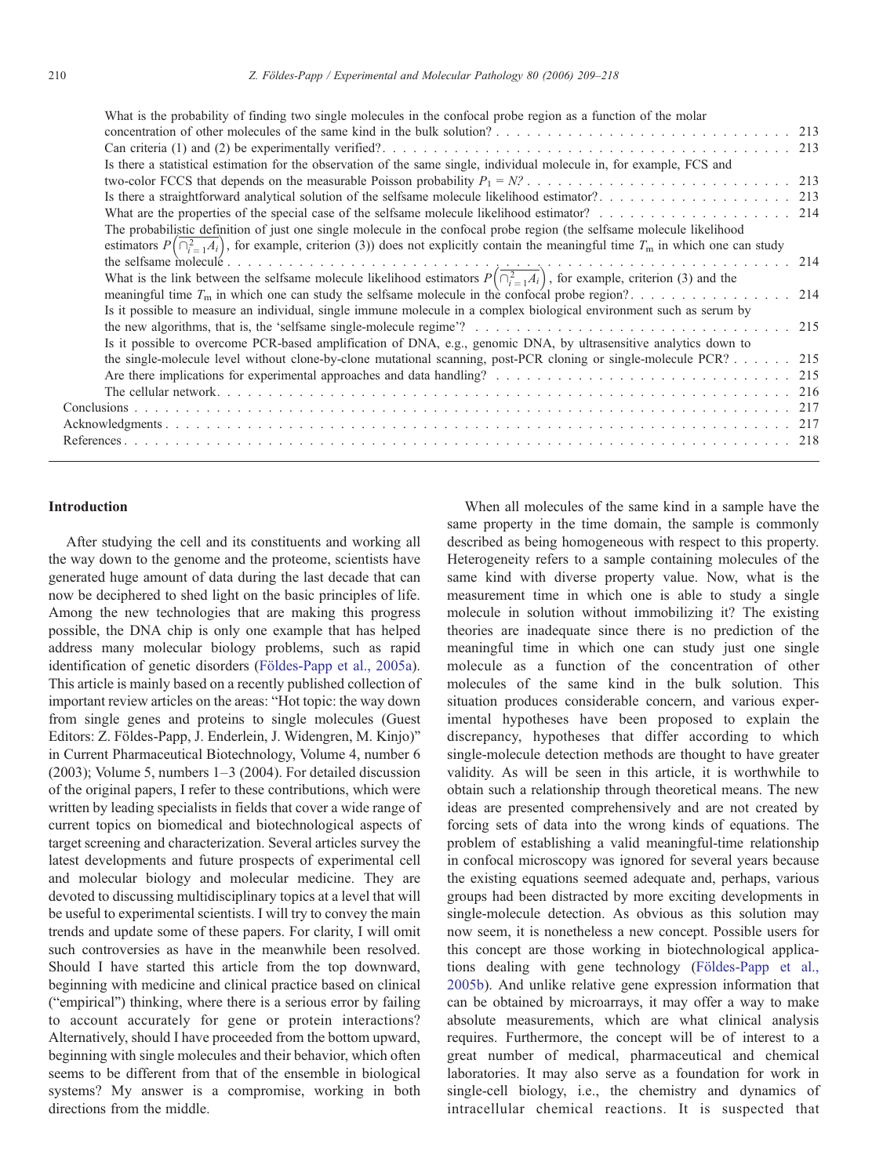| What is the probability of finding two single molecules in the confocal probe region as a function of the molar                                           |     |
|-----------------------------------------------------------------------------------------------------------------------------------------------------------|-----|
|                                                                                                                                                           |     |
|                                                                                                                                                           |     |
| Is there a statistical estimation for the observation of the same single, individual molecule in, for example, FCS and                                    |     |
|                                                                                                                                                           |     |
|                                                                                                                                                           |     |
| What are the properties of the special case of the selfsame molecule likelihood estimator? $\ldots$ , $\ldots$ , $\ldots$ , $\ldots$ , $\ldots$ , 214     |     |
| The probabilistic definition of just one single molecule in the confocal probe region (the selfsame molecule likelihood                                   |     |
| estimators $P(\overline{\bigcap_{i=1}^2 A_i})$ , for example, criterion (3)) does not explicitly contain the meaningful time $T_m$ in which one can study |     |
|                                                                                                                                                           | 214 |
| What is the link between the selfsame molecule likelihood estimators $P(\overline{\bigcap_{i=1}^{2} A_i})$ , for example, criterion (3) and the           |     |
| meaningful time $T_m$ in which one can study the selfsame molecule in the confocal probe region?                                                          | 214 |
| Is it possible to measure an individual, single immune molecule in a complex biological environment such as serum by                                      |     |
|                                                                                                                                                           | 215 |
| Is it possible to overcome PCR-based amplification of DNA, e.g., genomic DNA, by ultrasensitive analytics down to                                         |     |
| the single-molecule level without clone-by-clone mutational scanning, post-PCR cloning or single-molecule PCR? 215                                        |     |
|                                                                                                                                                           |     |
|                                                                                                                                                           |     |
|                                                                                                                                                           |     |
|                                                                                                                                                           |     |
|                                                                                                                                                           | 218 |
|                                                                                                                                                           |     |

#### Introduction

After studying the cell and its constituents and working all the way down to the genome and the proteome, scientists have generated huge amount of data during the last decade that can now be deciphered to shed light on the basic principles of life. Among the new technologies that are making this progress possible, the DNA chip is only one example that has helped address many molecular biology problems, such as rapid identification of genetic disorders ([Földes-Papp et al., 2005a](#page-9-0)). This article is mainly based on a recently published collection of important review articles on the areas: "Hot topic: the way down from single genes and proteins to single molecules (Guest Editors: Z. Földes-Papp, J. Enderlein, J. Widengren, M. Kinjo)" in Current Pharmaceutical Biotechnology, Volume 4, number 6 (2003); Volume 5, numbers  $1-3$  (2004). For detailed discussion of the original papers, I refer to these contributions, which were written by leading specialists in fields that cover a wide range of current topics on biomedical and biotechnological aspects of target screening and characterization. Several articles survey the latest developments and future prospects of experimental cell and molecular biology and molecular medicine. They are devoted to discussing multidisciplinary topics at a level that will be useful to experimental scientists. I will try to convey the main trends and update some of these papers. For clarity, I will omit such controversies as have in the meanwhile been resolved. Should I have started this article from the top downward, beginning with medicine and clinical practice based on clinical ("empirical") thinking, where there is a serious error by failing to account accurately for gene or protein interactions? Alternatively, should I have proceeded from the bottom upward, beginning with single molecules and their behavior, which often seems to be different from that of the ensemble in biological systems? My answer is a compromise, working in both directions from the middle.

When all molecules of the same kind in a sample have the same property in the time domain, the sample is commonly described as being homogeneous with respect to this property. Heterogeneity refers to a sample containing molecules of the same kind with diverse property value. Now, what is the measurement time in which one is able to study a single molecule in solution without immobilizing it? The existing theories are inadequate since there is no prediction of the meaningful time in which one can study just one single molecule as a function of the concentration of other molecules of the same kind in the bulk solution. This situation produces considerable concern, and various experimental hypotheses have been proposed to explain the discrepancy, hypotheses that differ according to which single-molecule detection methods are thought to have greater validity. As will be seen in this article, it is worthwhile to obtain such a relationship through theoretical means. The new ideas are presented comprehensively and are not created by forcing sets of data into the wrong kinds of equations. The problem of establishing a valid meaningful-time relationship in confocal microscopy was ignored for several years because the existing equations seemed adequate and, perhaps, various groups had been distracted by more exciting developments in single-molecule detection. As obvious as this solution may now seem, it is nonetheless a new concept. Possible users for this concept are those working in biotechnological applications dealing with gene technology ([Földes-Papp et al.,](#page-9-0) [2005b\)](#page-9-0). And unlike relative gene expression information that can be obtained by microarrays, it may offer a way to make absolute measurements, which are what clinical analysis requires. Furthermore, the concept will be of interest to a great number of medical, pharmaceutical and chemical laboratories. It may also serve as a foundation for work in single-cell biology, i.e., the chemistry and dynamics of intracellular chemical reactions. It is suspected that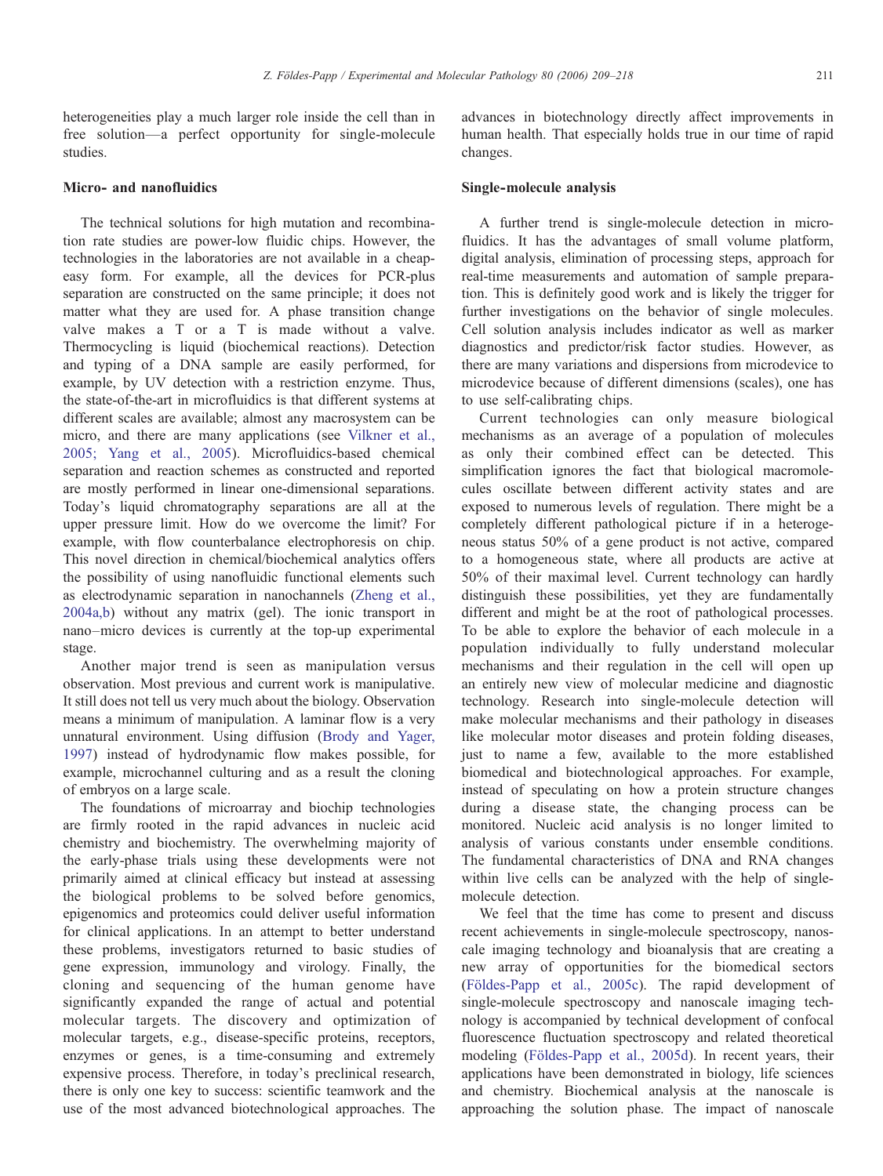heterogeneities play a much larger role inside the cell than in free solution—a perfect opportunity for single-molecule studies.

#### Micro- and nanofluidics

The technical solutions for high mutation and recombination rate studies are power-low fluidic chips. However, the technologies in the laboratories are not available in a cheapeasy form. For example, all the devices for PCR-plus separation are constructed on the same principle; it does not matter what they are used for. A phase transition change valve makes a T or a T is made without a valve. Thermocycling is liquid (biochemical reactions). Detection and typing of a DNA sample are easily performed, for example, by UV detection with a restriction enzyme. Thus, the state-of-the-art in microfluidics is that different systems at different scales are available; almost any macrosystem can be micro, and there are many applications (see [Vilkner et al.,](#page-9-0) [2005; Yang et al., 2005](#page-9-0)). Microfluidics-based chemical separation and reaction schemes as constructed and reported are mostly performed in linear one-dimensional separations. Today's liquid chromatography separations are all at the upper pressure limit. How do we overcome the limit? For example, with flow counterbalance electrophoresis on chip. This novel direction in chemical/biochemical analytics offers the possibility of using nanofluidic functional elements such as electrodynamic separation in nanochannels ([Zheng et al.,](#page-9-0) [2004a,b](#page-9-0)) without any matrix (gel). The ionic transport in nano–micro devices is currently at the top-up experimental stage.

Another major trend is seen as manipulation versus observation. Most previous and current work is manipulative. It still does not tell us very much about the biology. Observation means a minimum of manipulation. A laminar flow is a very unnatural environment. Using diffusion ([Brody and Yager,](#page-9-0) [1997\)](#page-9-0) instead of hydrodynamic flow makes possible, for example, microchannel culturing and as a result the cloning of embryos on a large scale.

The foundations of microarray and biochip technologies are firmly rooted in the rapid advances in nucleic acid chemistry and biochemistry. The overwhelming majority of the early-phase trials using these developments were not primarily aimed at clinical efficacy but instead at assessing the biological problems to be solved before genomics, epigenomics and proteomics could deliver useful information for clinical applications. In an attempt to better understand these problems, investigators returned to basic studies of gene expression, immunology and virology. Finally, the cloning and sequencing of the human genome have significantly expanded the range of actual and potential molecular targets. The discovery and optimization of molecular targets, e.g., disease-specific proteins, receptors, enzymes or genes, is a time-consuming and extremely expensive process. Therefore, in today's preclinical research, there is only one key to success: scientific teamwork and the use of the most advanced biotechnological approaches. The

advances in biotechnology directly affect improvements in human health. That especially holds true in our time of rapid changes.

#### Single-molecule analysis

A further trend is single-molecule detection in microfluidics. It has the advantages of small volume platform, digital analysis, elimination of processing steps, approach for real-time measurements and automation of sample preparation. This is definitely good work and is likely the trigger for further investigations on the behavior of single molecules. Cell solution analysis includes indicator as well as marker diagnostics and predictor/risk factor studies. However, as there are many variations and dispersions from microdevice to microdevice because of different dimensions (scales), one has to use self-calibrating chips.

Current technologies can only measure biological mechanisms as an average of a population of molecules as only their combined effect can be detected. This simplification ignores the fact that biological macromolecules oscillate between different activity states and are exposed to numerous levels of regulation. There might be a completely different pathological picture if in a heterogeneous status 50% of a gene product is not active, compared to a homogeneous state, where all products are active at 50% of their maximal level. Current technology can hardly distinguish these possibilities, yet they are fundamentally different and might be at the root of pathological processes. To be able to explore the behavior of each molecule in a population individually to fully understand molecular mechanisms and their regulation in the cell will open up an entirely new view of molecular medicine and diagnostic technology. Research into single-molecule detection will make molecular mechanisms and their pathology in diseases like molecular motor diseases and protein folding diseases, just to name a few, available to the more established biomedical and biotechnological approaches. For example, instead of speculating on how a protein structure changes during a disease state, the changing process can be monitored. Nucleic acid analysis is no longer limited to analysis of various constants under ensemble conditions. The fundamental characteristics of DNA and RNA changes within live cells can be analyzed with the help of singlemolecule detection.

We feel that the time has come to present and discuss recent achievements in single-molecule spectroscopy, nanoscale imaging technology and bioanalysis that are creating a new array of opportunities for the biomedical sectors ([Földes-Papp et al., 2005c\)](#page-9-0). The rapid development of single-molecule spectroscopy and nanoscale imaging technology is accompanied by technical development of confocal fluorescence fluctuation spectroscopy and related theoretical modeling ([Földes-Papp et al., 2005d\)](#page-9-0). In recent years, their applications have been demonstrated in biology, life sciences and chemistry. Biochemical analysis at the nanoscale is approaching the solution phase. The impact of nanoscale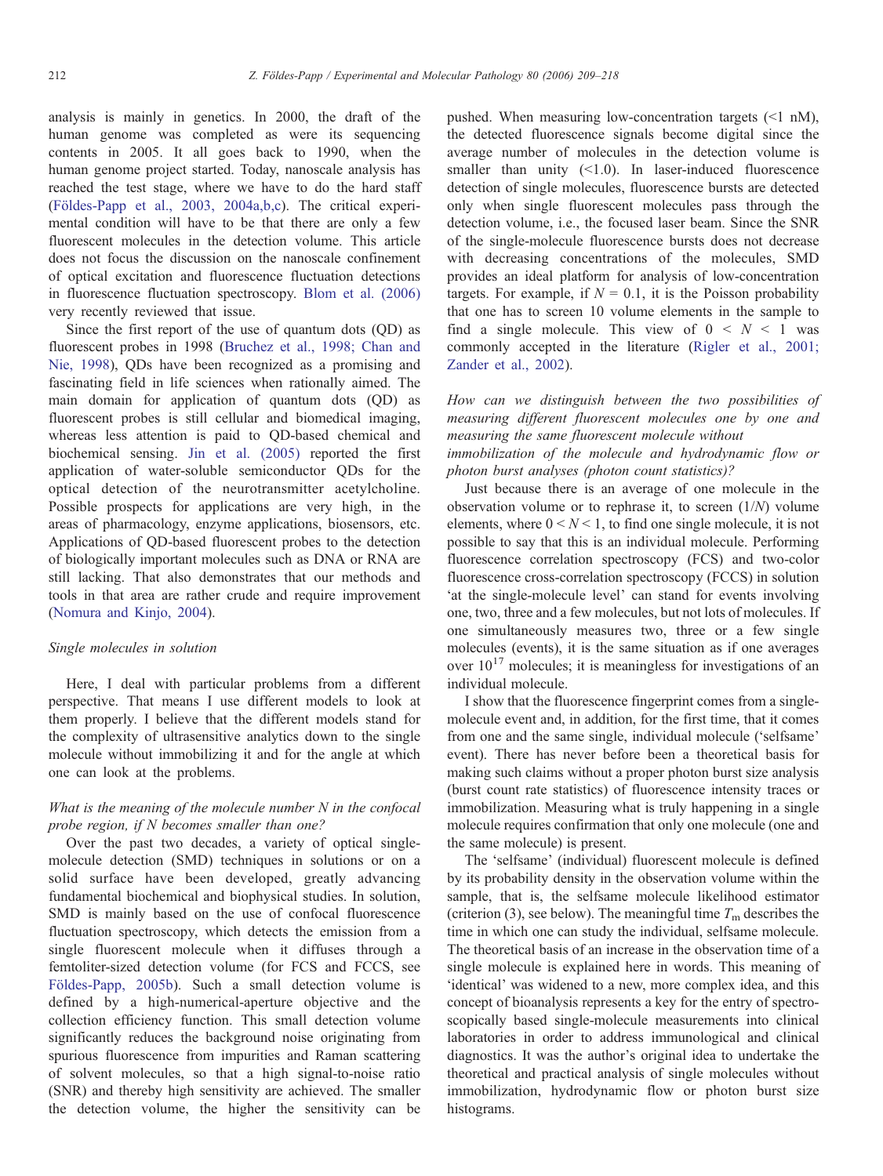analysis is mainly in genetics. In 2000, the draft of the human genome was completed as were its sequencing contents in 2005. It all goes back to 1990, when the human genome project started. Today, nanoscale analysis has reached the test stage, where we have to do the hard staff ([Földes-Papp et al., 2003, 2004a,b,c\)](#page-9-0). The critical experimental condition will have to be that there are only a few fluorescent molecules in the detection volume. This article does not focus the discussion on the nanoscale confinement of optical excitation and fluorescence fluctuation detections in fluorescence fluctuation spectroscopy. [Blom et al. \(2006\)](#page-9-0) very recently reviewed that issue.

Since the first report of the use of quantum dots (QD) as fluorescent probes in 1998 [\(Bruchez et al., 1998; Chan and](#page-9-0) [Nie, 1998](#page-9-0)), QDs have been recognized as a promising and fascinating field in life sciences when rationally aimed. The main domain for application of quantum dots (QD) as fluorescent probes is still cellular and biomedical imaging, whereas less attention is paid to QD-based chemical and biochemical sensing. [Jin et al. \(2005\)](#page-9-0) reported the first application of water-soluble semiconductor QDs for the optical detection of the neurotransmitter acetylcholine. Possible prospects for applications are very high, in the areas of pharmacology, enzyme applications, biosensors, etc. Applications of QD-based fluorescent probes to the detection of biologically important molecules such as DNA or RNA are still lacking. That also demonstrates that our methods and tools in that area are rather crude and require improvement ([Nomura and Kinjo, 2004\)](#page-9-0).

### Single molecules in solution

Here, I deal with particular problems from a different perspective. That means I use different models to look at them properly. I believe that the different models stand for the complexity of ultrasensitive analytics down to the single molecule without immobilizing it and for the angle at which one can look at the problems.

## What is the meaning of the molecule number N in the confocal probe region, if N becomes smaller than one?

Over the past two decades, a variety of optical singlemolecule detection (SMD) techniques in solutions or on a solid surface have been developed, greatly advancing fundamental biochemical and biophysical studies. In solution, SMD is mainly based on the use of confocal fluorescence fluctuation spectroscopy, which detects the emission from a single fluorescent molecule when it diffuses through a femtoliter-sized detection volume (for FCS and FCCS, see [Földes-Papp, 2005b\)](#page-9-0). Such a small detection volume is defined by a high-numerical-aperture objective and the collection efficiency function. This small detection volume significantly reduces the background noise originating from spurious fluorescence from impurities and Raman scattering of solvent molecules, so that a high signal-to-noise ratio (SNR) and thereby high sensitivity are achieved. The smaller the detection volume, the higher the sensitivity can be

pushed. When measuring low-concentration targets  $(\leq 1 \text{ nM})$ , the detected fluorescence signals become digital since the average number of molecules in the detection volume is smaller than unity  $(1.0)$ . In laser-induced fluorescence detection of single molecules, fluorescence bursts are detected only when single fluorescent molecules pass through the detection volume, i.e., the focused laser beam. Since the SNR of the single-molecule fluorescence bursts does not decrease with decreasing concentrations of the molecules, SMD provides an ideal platform for analysis of low-concentration targets. For example, if  $N = 0.1$ , it is the Poisson probability that one has to screen 10 volume elements in the sample to find a single molecule. This view of  $0 \le N \le 1$  was commonly accepted in the literature ([Rigler et al., 2001;](#page-9-0) [Zander et al., 2002](#page-9-0)).

How can we distinguish between the two possibilities of measuring different fluorescent molecules one by one and measuring the same fluorescent molecule without

immobilization of the molecule and hydrodynamic flow or photon burst analyses (photon count statistics)?

Just because there is an average of one molecule in the observation volume or to rephrase it, to screen  $(1/N)$  volume elements, where  $0 \le N \le 1$ , to find one single molecule, it is not possible to say that this is an individual molecule. Performing fluorescence correlation spectroscopy (FCS) and two-color fluorescence cross-correlation spectroscopy (FCCS) in solution 'at the single-molecule level' can stand for events involving one, two, three and a few molecules, but not lots of molecules. If one simultaneously measures two, three or a few single molecules (events), it is the same situation as if one averages over  $10^{17}$  molecules; it is meaningless for investigations of an individual molecule.

I show that the fluorescence fingerprint comes from a singlemolecule event and, in addition, for the first time, that it comes from one and the same single, individual molecule ('selfsame' event). There has never before been a theoretical basis for making such claims without a proper photon burst size analysis (burst count rate statistics) of fluorescence intensity traces or immobilization. Measuring what is truly happening in a single molecule requires confirmation that only one molecule (one and the same molecule) is present.

The 'selfsame' (individual) fluorescent molecule is defined by its probability density in the observation volume within the sample, that is, the selfsame molecule likelihood estimator (criterion (3), see below). The meaningful time  $T<sub>m</sub>$  describes the time in which one can study the individual, selfsame molecule. The theoretical basis of an increase in the observation time of a single molecule is explained here in words. This meaning of 'identical' was widened to a new, more complex idea, and this concept of bioanalysis represents a key for the entry of spectroscopically based single-molecule measurements into clinical laboratories in order to address immunological and clinical diagnostics. It was the author's original idea to undertake the theoretical and practical analysis of single molecules without immobilization, hydrodynamic flow or photon burst size histograms.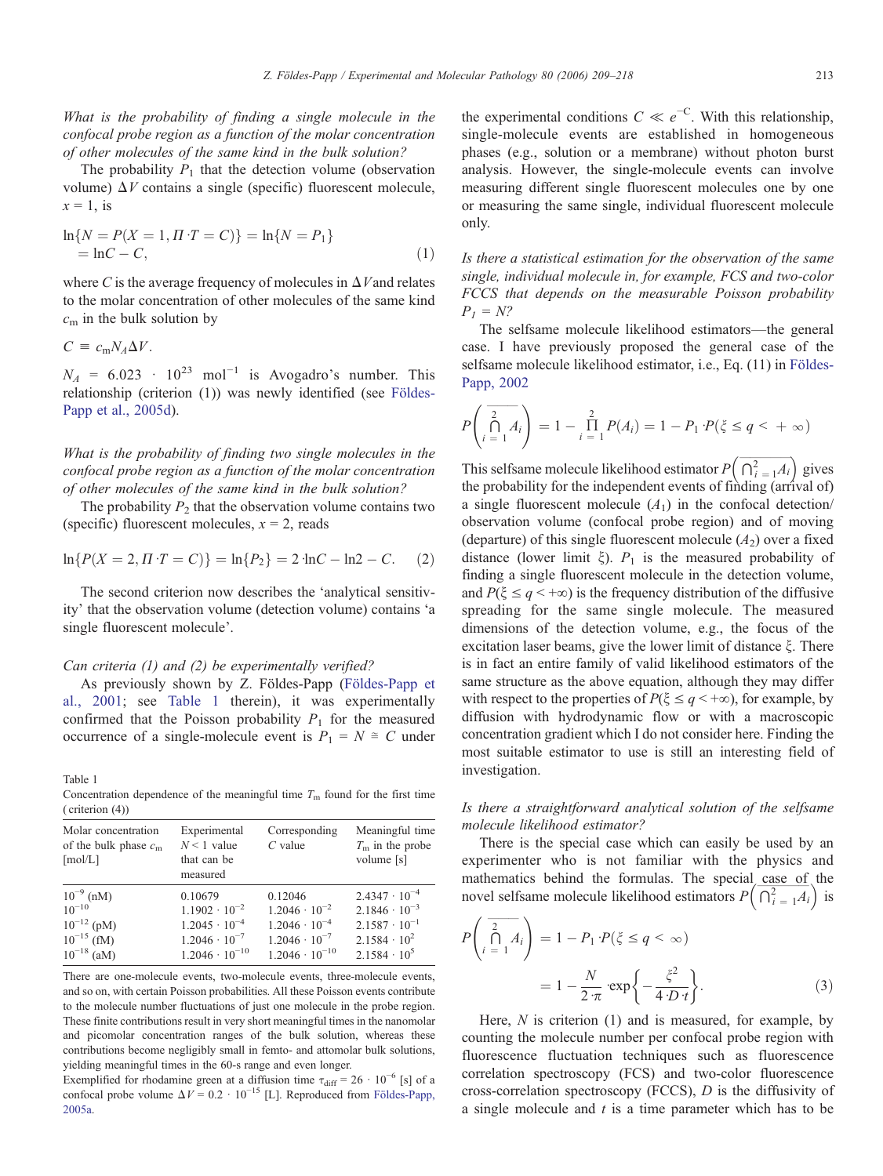<span id="page-4-0"></span>What is the probability of finding a single molecule in the confocal probe region as a function of the molar concentration of other molecules of the same kind in the bulk solution?

The probability  $P_1$  that the detection volume (observation volume)  $\Delta V$  contains a single (specific) fluorescent molecule,  $x = 1$ , is

$$
\ln\{N = P(X = 1, \Pi \cdot T = C)\} = \ln\{N = P_1\}
$$
  
= lnC - C, (1)

where C is the average frequency of molecules in  $\Delta V$  and relates to the molar concentration of other molecules of the same kind  $c<sub>m</sub>$  in the bulk solution by

 $C \equiv c_m N_A \Delta V$ .

 $N_A = 6.023 \cdot 10^{23} \text{ mol}^{-1}$  is Avogadro's number. This relationship (criterion (1)) was newly identified (see [Földes-](#page-9-0)[Papp et al., 2005d](#page-9-0)).

What is the probability of finding two single molecules in the confocal probe region as a function of the molar concentration of other molecules of the same kind in the bulk solution?

The probability  $P_2$  that the observation volume contains two (specific) fluorescent molecules,  $x = 2$ , reads

$$
\ln\{P(X=2, \Pi \cdot T = C)\} = \ln\{P_2\} = 2 \cdot \ln C - \ln 2 - C. \tag{2}
$$

The second criterion now describes the 'analytical sensitivity' that the observation volume (detection volume) contains 'a single fluorescent molecule'.

### Can criteria (1) and (2) be experimentally verified?

As previously shown by Z. Földes-Papp [\(Földes-Papp et](#page-9-0) [al., 2001;](#page-9-0) see Table 1 therein), it was experimentally confirmed that the Poisson probability  $P_1$  for the measured occurrence of a single-molecule event is  $P_1 = N \cong C$  under

Table 1

Concentration dependence of the meaningful time  $T<sub>m</sub>$  found for the first time ( criterion (4))

| Molar concentration<br>of the bulk phase $c_m$<br>$\lceil \text{mol/L} \rceil$ | Experimental<br>$N < 1$ value<br>that can be<br>measured | Corresponding<br>$C$ value | Meaningful time<br>$T_{\rm m}$ in the probe<br>volume [s] |
|--------------------------------------------------------------------------------|----------------------------------------------------------|----------------------------|-----------------------------------------------------------|
| $10^{-9}$ (nM)                                                                 | 0.10679                                                  | 0.12046                    | $2.4347 \cdot 10^{-4}$                                    |
| $10^{-10}$                                                                     | $1.1902 \cdot 10^{-2}$                                   | $1.2046 \cdot 10^{-2}$     | $2.1846 \cdot 10^{-3}$                                    |
| $10^{-12}$ (pM)                                                                | $1.2045 \cdot 10^{-4}$                                   | $1.2046 \cdot 10^{-4}$     | $2.1587 \cdot 10^{-1}$                                    |
| $10^{-15}$ (fM)                                                                | $1.2046 \cdot 10^{-7}$                                   | $1.2046 \cdot 10^{-7}$     | $2.1584 \cdot 10^{2}$                                     |
| $10^{-18}$ (aM)                                                                | $1.2046 \cdot 10^{-10}$                                  | $1.2046 \cdot 10^{-10}$    | $2.1584 \cdot 10^5$                                       |

There are one-molecule events, two-molecule events, three-molecule events, and so on, with certain Poisson probabilities. All these Poisson events contribute to the molecule number fluctuations of just one molecule in the probe region. These finite contributions result in very short meaningful times in the nanomolar and picomolar concentration ranges of the bulk solution, whereas these contributions become negligibly small in femto- and attomolar bulk solutions, yielding meaningful times in the 60-s range and even longer.

Exemplified for rhodamine green at a diffusion time  $\tau_{\text{diff}} = 26 \cdot 10^{-6}$  [s] of a confocal probe volume  $\Delta V = 0.2 \cdot 10^{-15}$  [L]. Reproduced from [Földes-Papp,](#page-9-0) [2005a.](#page-9-0)

the experimental conditions  $C \ll e^{-C}$ . With this relationship, single-molecule events are established in homogeneous phases (e.g., solution or a membrane) without photon burst analysis. However, the single-molecule events can involve measuring different single fluorescent molecules one by one or measuring the same single, individual fluorescent molecule only.

Is there a statistical estimation for the observation of the same single, individual molecule in, for example, FCS and two-color FCCS that depends on the measurable Poisson probability  $P_1 = N?$ 

The selfsame molecule likelihood estimators—the general case. I have previously proposed the general case of the selfsame molecule likelihood estimator, i.e., Eq. (11) in [Földes-](#page-9-0)[Papp, 2002](#page-9-0)

$$
P\left(\overline{\bigcap_{i=1}^{2} A_{i}}\right) = 1 - \prod_{i=1}^{2} P(A_{i}) = 1 - P_{1} \cdot P(\xi \leq q < +\infty)
$$

This selfsame molecule likelihood estimator  $P\left(\overline{\bigcap_{i=1}^{2} A_i}\right)$  gives the probability for the independent events of finding (arrival of) the probability for the independent events of finding (arrival of) a single fluorescent molecule  $(A_1)$  in the confocal detection/ observation volume (confocal probe region) and of moving (departure) of this single fluorescent molecule  $(A_2)$  over a fixed distance (lower limit ξ).  $P_1$  is the measured probability of finding a single fluorescent molecule in the detection volume, and  $P(\xi \le q < +\infty)$  is the frequency distribution of the diffusive spreading for the same single molecule. The measured dimensions of the detection volume, e.g., the focus of the excitation laser beams, give the lower limit of distance ξ. There is in fact an entire family of valid likelihood estimators of the same structure as the above equation, although they may differ with respect to the properties of  $P(\xi \le q < +\infty)$ , for example, by diffusion with hydrodynamic flow or with a macroscopic concentration gradient which I do not consider here. Finding the most suitable estimator to use is still an interesting field of investigation.

## Is there a straightforward analytical solution of the selfsame molecule likelihood estimator?

There is the special case which can easily be used by an experimenter who is not familiar with the physics and mathematics behind the formulas. The special case of the movel selfsame molecule likelihood estimators  $P(\overline{\bigcap_{i=1}^{2} A_i})$  is

$$
P\left(\overline{\bigcap_{i=1}^{2} A_{i}}\right) = 1 - P_{1} \cdot P(\xi \le q < \infty)
$$

$$
= 1 - \frac{N}{2 \cdot \pi} \cdot \exp\left\{-\frac{\xi^{2}}{4 \cdot D \cdot t}\right\}.
$$
(3)

Here,  $N$  is criterion (1) and is measured, for example, by counting the molecule number per confocal probe region with fluorescence fluctuation techniques such as fluorescence correlation spectroscopy (FCS) and two-color fluorescence cross-correlation spectroscopy (FCCS), D is the diffusivity of a single molecule and  $t$  is a time parameter which has to be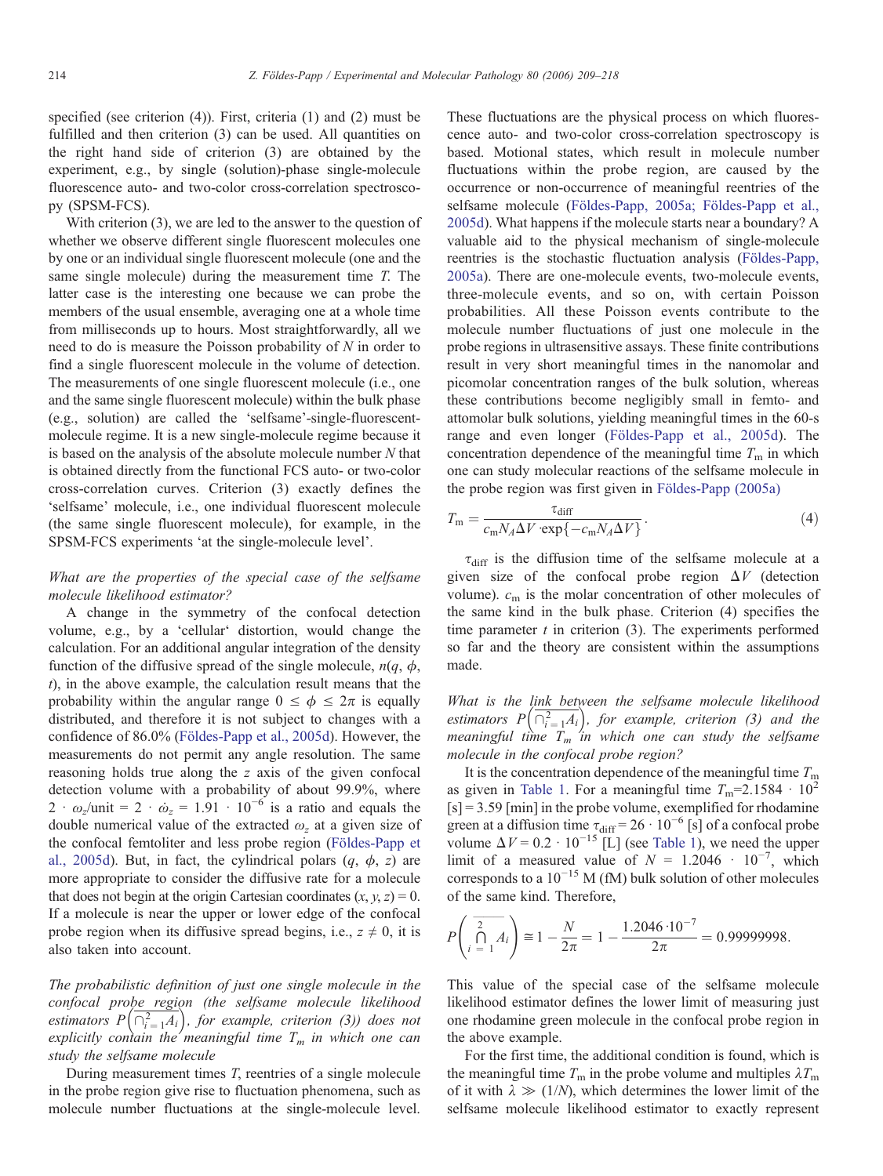specified (see criterion (4)). First, criteria (1) and (2) must be fulfilled and then criterion (3) can be used. All quantities on the right hand side of criterion (3) are obtained by the experiment, e.g., by single (solution)-phase single-molecule fluorescence auto- and two-color cross-correlation spectroscopy (SPSM-FCS).

With criterion (3), we are led to the answer to the question of whether we observe different single fluorescent molecules one by one or an individual single fluorescent molecule (one and the same single molecule) during the measurement time T. The latter case is the interesting one because we can probe the members of the usual ensemble, averaging one at a whole time from milliseconds up to hours. Most straightforwardly, all we need to do is measure the Poisson probability of  $N$  in order to find a single fluorescent molecule in the volume of detection. The measurements of one single fluorescent molecule (i.e., one and the same single fluorescent molecule) within the bulk phase (e.g., solution) are called the 'selfsame'-single-fluorescentmolecule regime. It is a new single-molecule regime because it is based on the analysis of the absolute molecule number N that is obtained directly from the functional FCS auto- or two-color cross-correlation curves. Criterion (3) exactly defines the 'selfsame' molecule, i.e., one individual fluorescent molecule (the same single fluorescent molecule), for example, in the SPSM-FCS experiments 'at the single-molecule level'.

## What are the properties of the special case of the selfsame molecule likelihood estimator?

A change in the symmetry of the confocal detection volume, e.g., by a 'cellular' distortion, would change the calculation. For an additional angular integration of the density function of the diffusive spread of the single molecule,  $n(q, \phi, \phi)$ t), in the above example, the calculation result means that the probability within the angular range  $0 \leq \phi \leq 2\pi$  is equally distributed, and therefore it is not subject to changes with a confidence of 86.0% ([Földes-Papp et al., 2005d](#page-9-0)). However, the measurements do not permit any angle resolution. The same reasoning holds true along the z axis of the given confocal detection volume with a probability of about 99.9%, where 2 ·  $\omega_z$ /unit = 2 ·  $\dot{\omega}_z$  = 1.91 · 10<sup>-6</sup> is a ratio and equals the double numerical value of the extracted  $\omega_z$  at a given size of the confocal femtoliter and less probe region [\(Földes-Papp et](#page-9-0) [al., 2005d](#page-9-0)). But, in fact, the cylindrical polars  $(q, \phi, z)$  are more appropriate to consider the diffusive rate for a molecule that does not begin at the origin Cartesian coordinates  $(x, y, z) = 0$ . If a molecule is near the upper or lower edge of the confocal probe region when its diffusive spread begins, i.e.,  $z \neq 0$ , it is also taken into account.

The probabilistic definition of just one single molecule in the confocal probe region (the selfsame molecule likelihood estimators  $P\left(\overline{\bigcap_{i=1}^2 A_i}\right)$ , for example, criterion (3)) does not<br>explicitly contain the meaningful time T, in which one can explicitly contain the meaningful time  $T_m$  in which one can study the selfsame molecule

During measurement times T, reentries of a single molecule in the probe region give rise to fluctuation phenomena, such as molecule number fluctuations at the single-molecule level. These fluctuations are the physical process on which fluorescence auto- and two-color cross-correlation spectroscopy is based. Motional states, which result in molecule number fluctuations within the probe region, are caused by the occurrence or non-occurrence of meaningful reentries of the selfsame molecule [\(Földes-Papp, 2005a; Földes-Papp et al.,](#page-9-0) [2005d\)](#page-9-0). What happens if the molecule starts near a boundary? A valuable aid to the physical mechanism of single-molecule reentries is the stochastic fluctuation analysis ([Földes-Papp,](#page-9-0) [2005a](#page-9-0)). There are one-molecule events, two-molecule events, three-molecule events, and so on, with certain Poisson probabilities. All these Poisson events contribute to the molecule number fluctuations of just one molecule in the probe regions in ultrasensitive assays. These finite contributions result in very short meaningful times in the nanomolar and picomolar concentration ranges of the bulk solution, whereas these contributions become negligibly small in femto- and attomolar bulk solutions, yielding meaningful times in the 60-s range and even longer [\(Földes-Papp et al., 2005d](#page-9-0)). The concentration dependence of the meaningful time  $T<sub>m</sub>$  in which one can study molecular reactions of the selfsame molecule in the probe region was first given in [Földes-Papp \(2005a\)](#page-9-0)

$$
T_{\rm m} = \frac{\tau_{\rm diff}}{c_{\rm m} N_A \Delta V \cdot \exp\{-c_{\rm m} N_A \Delta V\}}.\tag{4}
$$

 $\tau_{\text{diff}}$  is the diffusion time of the selfsame molecule at a given size of the confocal probe region  $\Delta V$  (detection volume).  $c_m$  is the molar concentration of other molecules of the same kind in the bulk phase. Criterion (4) specifies the time parameter  $t$  in criterion (3). The experiments performed so far and the theory are consistent within the assumptions made.

What is the link between the selfsame molecule likelihood estimators  $P\left(\overline{\bigcap_{i=1}^{2} A_i}\right)$ , for example, criterion (3) and the<br>meaningful time T in which and can study the selfogment meaningful time  $T_m$  in which one can study the selfsame molecule in the confocal probe region?

It is the concentration dependence of the meaningful time  $T_{\text{m}}$ as given in [Table 1.](#page-4-0) For a meaningful time  $T_m=2.1584 \cdot 10^2$  $[s] = 3.59$  [min] in the probe volume, exemplified for rhodamine green at a diffusion time  $\tau_{\text{diff}} = 26 \cdot 10^{-6}$  [s] of a confocal probe volume  $\Delta V = 0.2 \cdot 10^{-15}$  [L] (see [Table 1](#page-4-0)), we need the upper limit of a measured value of  $N = 1.2046 \cdot 10^{-7}$ , which corresponds to a  $10^{-15}$  M (fM) bulk solution of other molecules of the same kind. Therefore,

$$
P\left(\overline{\bigcap_{i=1}^{2} A_i}\right) \cong 1 - \frac{N}{2\pi} = 1 - \frac{1.2046 \cdot 10^{-7}}{2\pi} = 0.99999998.
$$

zz<sup>z</sup>z

This value of the special case of the selfsame molecule likelihood estimator defines the lower limit of measuring just one rhodamine green molecule in the confocal probe region in the above example.

For the first time, the additional condition is found, which is the meaningful time  $T_{\rm m}$  in the probe volume and multiples  $\lambda T_{\rm m}$ of it with  $\lambda \gg (1/N)$ , which determines the lower limit of the selfsame molecule likelihood estimator to exactly represent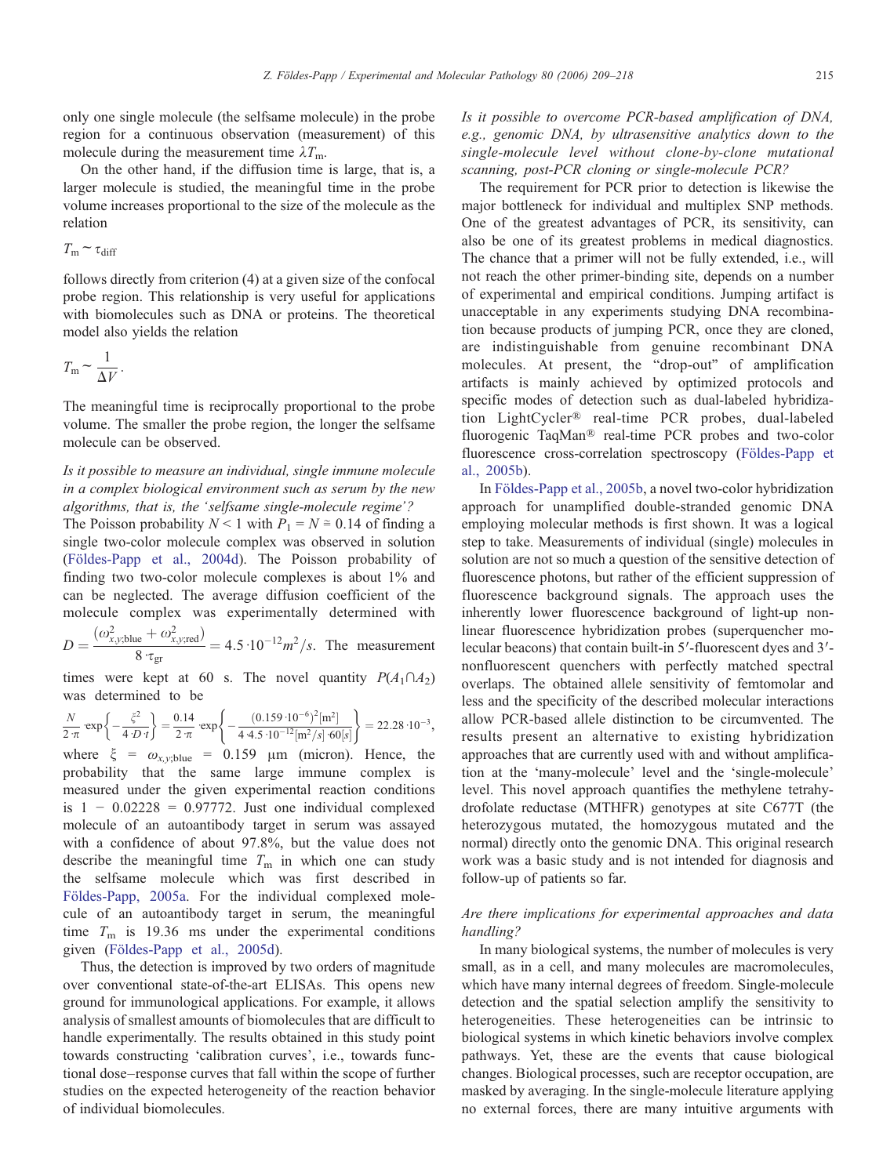only one single molecule (the selfsame molecule) in the probe region for a continuous observation (measurement) of this molecule during the measurement time  $\lambda T_{\text{m}}$ .

On the other hand, if the diffusion time is large, that is, a larger molecule is studied, the meaningful time in the probe volume increases proportional to the size of the molecule as the relation

$$
T_{\rm m} \sim \tau_{\rm diff}
$$

follows directly from criterion (4) at a given size of the confocal probe region. This relationship is very useful for applications with biomolecules such as DNA or proteins. The theoretical model also yields the relation

$$
T_{\rm m} \sim \frac{1}{\Delta V}.
$$

The meaningful time is reciprocally proportional to the probe volume. The smaller the probe region, the longer the selfsame molecule can be observed.

## Is it possible to measure an individual, single immune molecule in a complex biological environment such as serum by the new algorithms, that is, the 'selfsame single-molecule regime'?

The Poisson probability  $N < 1$  with  $P_1 = N \approx 0.14$  of finding a single two-color molecule complex was observed in solution ([Földes-Papp et al., 2004d](#page-9-0)). The Poisson probability of finding two two-color molecule complexes is about 1% and can be neglected. The average diffusion coefficient of the molecule complex was experimentally determined with

$$
D = \frac{(\omega_{x,y;\text{blue}}^2 + \omega_{x,y;\text{red}}^2)}{8 \cdot \tau_{\text{gr}}} = 4.5 \cdot 10^{-12} m^2/s.
$$
 The measurement

times were kept at 60 s. The novel quantity  $P(A_1 \cap A_2)$ was determined to be

$$
\frac{N}{2\pi} \exp\left\{-\frac{\xi^2}{4\,D\,t}\right\} = \frac{0.14}{2\,\pi} \cdot \exp\left\{-\frac{(0.159\cdot 10^{-6})^2 \text{[m}^2]}{4\,4.5\cdot 10^{-12} \text{[m}^2/\text{s}]\cdot 60 \text{[s]}}\right\} = 22.28\cdot 10^{-3},
$$

where  $\xi = \omega_{x,y;\text{blue}} = 0.159 \mu \text{m}$  (micron). Hence, the probability that the same large immune complex is measured under the given experimental reaction conditions is  $1 - 0.02228 = 0.97772$ . Just one individual complexed molecule of an autoantibody target in serum was assayed with a confidence of about 97.8%, but the value does not describe the meaningful time  $T<sub>m</sub>$  in which one can study the selfsame molecule which was first described in [Földes-Papp, 2005a](#page-9-0). For the individual complexed molecule of an autoantibody target in serum, the meaningful time  $T<sub>m</sub>$  is 19.36 ms under the experimental conditions given ([Földes-Papp et al., 2005d](#page-9-0)).

Thus, the detection is improved by two orders of magnitude over conventional state-of-the-art ELISAs. This opens new ground for immunological applications. For example, it allows analysis of smallest amounts of biomolecules that are difficult to handle experimentally. The results obtained in this study point towards constructing 'calibration curves', i.e., towards functional dose–response curves that fall within the scope of further studies on the expected heterogeneity of the reaction behavior of individual biomolecules.

Is it possible to overcome PCR-based amplification of DNA, e.g., genomic DNA, by ultrasensitive analytics down to the single-molecule level without clone-by-clone mutational scanning, post-PCR cloning or single-molecule PCR?

The requirement for PCR prior to detection is likewise the major bottleneck for individual and multiplex SNP methods. One of the greatest advantages of PCR, its sensitivity, can also be one of its greatest problems in medical diagnostics. The chance that a primer will not be fully extended, i.e., will not reach the other primer-binding site, depends on a number of experimental and empirical conditions. Jumping artifact is unacceptable in any experiments studying DNA recombination because products of jumping PCR, once they are cloned, are indistinguishable from genuine recombinant DNA molecules. At present, the "drop-out" of amplification artifacts is mainly achieved by optimized protocols and specific modes of detection such as dual-labeled hybridization LightCycler® real-time PCR probes, dual-labeled fluorogenic TaqMan® real-time PCR probes and two-color fluorescence cross-correlation spectroscopy [\(Földes-Papp et](#page-9-0) [al., 2005b\)](#page-9-0).

In [Földes-Papp et al., 2005b,](#page-9-0) a novel two-color hybridization approach for unamplified double-stranded genomic DNA employing molecular methods is first shown. It was a logical step to take. Measurements of individual (single) molecules in solution are not so much a question of the sensitive detection of fluorescence photons, but rather of the efficient suppression of fluorescence background signals. The approach uses the inherently lower fluorescence background of light-up nonlinear fluorescence hybridization probes (superquencher molecular beacons) that contain built-in 5′-fluorescent dyes and 3′ nonfluorescent quenchers with perfectly matched spectral overlaps. The obtained allele sensitivity of femtomolar and less and the specificity of the described molecular interactions allow PCR-based allele distinction to be circumvented. The results present an alternative to existing hybridization approaches that are currently used with and without amplification at the 'many-molecule' level and the 'single-molecule' level. This novel approach quantifies the methylene tetrahydrofolate reductase (MTHFR) genotypes at site C677T (the heterozygous mutated, the homozygous mutated and the normal) directly onto the genomic DNA. This original research work was a basic study and is not intended for diagnosis and follow-up of patients so far.

## Are there implications for experimental approaches and data handling?

In many biological systems, the number of molecules is very small, as in a cell, and many molecules are macromolecules, which have many internal degrees of freedom. Single-molecule detection and the spatial selection amplify the sensitivity to heterogeneities. These heterogeneities can be intrinsic to biological systems in which kinetic behaviors involve complex pathways. Yet, these are the events that cause biological changes. Biological processes, such are receptor occupation, are masked by averaging. In the single-molecule literature applying no external forces, there are many intuitive arguments with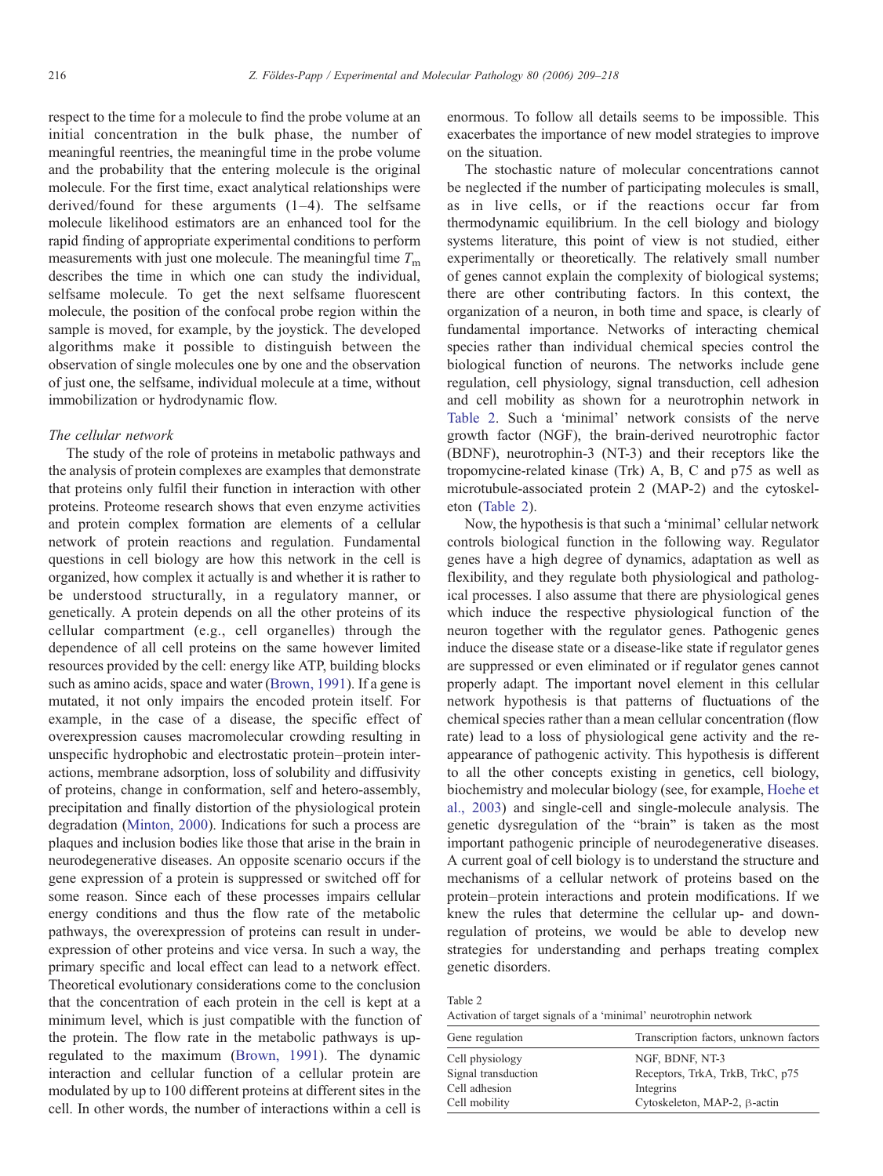respect to the time for a molecule to find the probe volume at an initial concentration in the bulk phase, the number of meaningful reentries, the meaningful time in the probe volume and the probability that the entering molecule is the original molecule. For the first time, exact analytical relationships were derived/found for these arguments (1–4). The selfsame molecule likelihood estimators are an enhanced tool for the rapid finding of appropriate experimental conditions to perform measurements with just one molecule. The meaningful time  $T<sub>m</sub>$ describes the time in which one can study the individual, selfsame molecule. To get the next selfsame fluorescent molecule, the position of the confocal probe region within the sample is moved, for example, by the joystick. The developed algorithms make it possible to distinguish between the observation of single molecules one by one and the observation of just one, the selfsame, individual molecule at a time, without immobilization or hydrodynamic flow.

#### The cellular network

The study of the role of proteins in metabolic pathways and the analysis of protein complexes are examples that demonstrate that proteins only fulfil their function in interaction with other proteins. Proteome research shows that even enzyme activities and protein complex formation are elements of a cellular network of protein reactions and regulation. Fundamental questions in cell biology are how this network in the cell is organized, how complex it actually is and whether it is rather to be understood structurally, in a regulatory manner, or genetically. A protein depends on all the other proteins of its cellular compartment (e.g., cell organelles) through the dependence of all cell proteins on the same however limited resources provided by the cell: energy like ATP, building blocks such as amino acids, space and water [\(Brown, 1991\)](#page-9-0). If a gene is mutated, it not only impairs the encoded protein itself. For example, in the case of a disease, the specific effect of overexpression causes macromolecular crowding resulting in unspecific hydrophobic and electrostatic protein–protein interactions, membrane adsorption, loss of solubility and diffusivity of proteins, change in conformation, self and hetero-assembly, precipitation and finally distortion of the physiological protein degradation ([Minton, 2000](#page-9-0)). Indications for such a process are plaques and inclusion bodies like those that arise in the brain in neurodegenerative diseases. An opposite scenario occurs if the gene expression of a protein is suppressed or switched off for some reason. Since each of these processes impairs cellular energy conditions and thus the flow rate of the metabolic pathways, the overexpression of proteins can result in underexpression of other proteins and vice versa. In such a way, the primary specific and local effect can lead to a network effect. Theoretical evolutionary considerations come to the conclusion that the concentration of each protein in the cell is kept at a minimum level, which is just compatible with the function of the protein. The flow rate in the metabolic pathways is upregulated to the maximum ([Brown, 1991](#page-9-0)). The dynamic interaction and cellular function of a cellular protein are modulated by up to 100 different proteins at different sites in the cell. In other words, the number of interactions within a cell is enormous. To follow all details seems to be impossible. This exacerbates the importance of new model strategies to improve on the situation.

The stochastic nature of molecular concentrations cannot be neglected if the number of participating molecules is small, as in live cells, or if the reactions occur far from thermodynamic equilibrium. In the cell biology and biology systems literature, this point of view is not studied, either experimentally or theoretically. The relatively small number of genes cannot explain the complexity of biological systems; there are other contributing factors. In this context, the organization of a neuron, in both time and space, is clearly of fundamental importance. Networks of interacting chemical species rather than individual chemical species control the biological function of neurons. The networks include gene regulation, cell physiology, signal transduction, cell adhesion and cell mobility as shown for a neurotrophin network in Table 2. Such a 'minimal' network consists of the nerve growth factor (NGF), the brain-derived neurotrophic factor (BDNF), neurotrophin-3 (NT-3) and their receptors like the tropomycine-related kinase (Trk) A, B, C and p75 as well as microtubule-associated protein 2 (MAP-2) and the cytoskeleton (Table 2).

Now, the hypothesis is that such a 'minimal' cellular network controls biological function in the following way. Regulator genes have a high degree of dynamics, adaptation as well as flexibility, and they regulate both physiological and pathological processes. I also assume that there are physiological genes which induce the respective physiological function of the neuron together with the regulator genes. Pathogenic genes induce the disease state or a disease-like state if regulator genes are suppressed or even eliminated or if regulator genes cannot properly adapt. The important novel element in this cellular network hypothesis is that patterns of fluctuations of the chemical species rather than a mean cellular concentration (flow rate) lead to a loss of physiological gene activity and the reappearance of pathogenic activity. This hypothesis is different to all the other concepts existing in genetics, cell biology, biochemistry and molecular biology (see, for example, [Hoehe et](#page-9-0) [al., 2003\)](#page-9-0) and single-cell and single-molecule analysis. The genetic dysregulation of the "brain" is taken as the most important pathogenic principle of neurodegenerative diseases. A current goal of cell biology is to understand the structure and mechanisms of a cellular network of proteins based on the protein–protein interactions and protein modifications. If we knew the rules that determine the cellular up- and downregulation of proteins, we would be able to develop new strategies for understanding and perhaps treating complex genetic disorders.

| Table 2 |  |  |                                                                  |  |
|---------|--|--|------------------------------------------------------------------|--|
|         |  |  | Activation of target signals of a 'minimal' neurotrophin network |  |

| Gene regulation     | Transcription factors, unknown factors |  |  |
|---------------------|----------------------------------------|--|--|
| Cell physiology     | NGF, BDNF, NT-3                        |  |  |
| Signal transduction | Receptors, TrkA, TrkB, TrkC, p75       |  |  |
| Cell adhesion       | Integrins                              |  |  |

Cell mobility Cytoskeleton, MAP-2, β-actin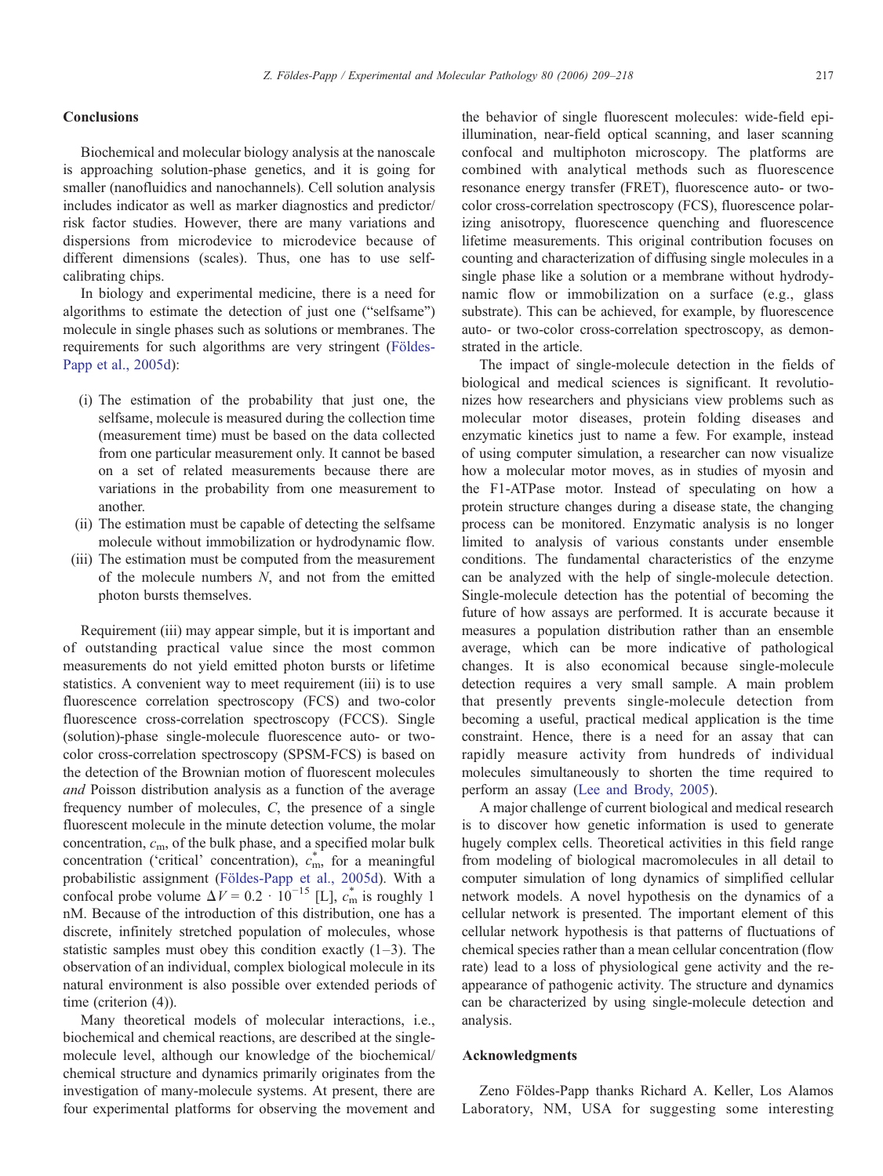#### **Conclusions**

Biochemical and molecular biology analysis at the nanoscale is approaching solution-phase genetics, and it is going for smaller (nanofluidics and nanochannels). Cell solution analysis includes indicator as well as marker diagnostics and predictor/ risk factor studies. However, there are many variations and dispersions from microdevice to microdevice because of different dimensions (scales). Thus, one has to use selfcalibrating chips.

In biology and experimental medicine, there is a need for algorithms to estimate the detection of just one ("selfsame") molecule in single phases such as solutions or membranes. The requirements for such algorithms are very stringent ([Földes-](#page-9-0)[Papp et al., 2005d](#page-9-0)):

- (i) The estimation of the probability that just one, the selfsame, molecule is measured during the collection time (measurement time) must be based on the data collected from one particular measurement only. It cannot be based on a set of related measurements because there are variations in the probability from one measurement to another.
- (ii) The estimation must be capable of detecting the selfsame molecule without immobilization or hydrodynamic flow.
- (iii) The estimation must be computed from the measurement of the molecule numbers N, and not from the emitted photon bursts themselves.

Requirement (iii) may appear simple, but it is important and of outstanding practical value since the most common measurements do not yield emitted photon bursts or lifetime statistics. A convenient way to meet requirement (iii) is to use fluorescence correlation spectroscopy (FCS) and two-color fluorescence cross-correlation spectroscopy (FCCS). Single (solution)-phase single-molecule fluorescence auto- or twocolor cross-correlation spectroscopy (SPSM-FCS) is based on the detection of the Brownian motion of fluorescent molecules and Poisson distribution analysis as a function of the average frequency number of molecules, C, the presence of a single fluorescent molecule in the minute detection volume, the molar concentration,  $c<sub>m</sub>$ , of the bulk phase, and a specified molar bulk concentration ('critical' concentration),  $c_{\text{m}}^{*}$ , for a meaningful probabilistic assignment [\(Földes-Papp et al., 2005d](#page-9-0)). With a confocal probe volume  $\Delta V = 0.2 \cdot 10^{-15}$  [L],  $c_{\text{m}}^{*}$  is roughly 1 nM. Because of the introduction of this distribution, one has a discrete, infinitely stretched population of molecules, whose statistic samples must obey this condition exactly  $(1-3)$ . The observation of an individual, complex biological molecule in its natural environment is also possible over extended periods of time (criterion (4)).

Many theoretical models of molecular interactions, i.e., biochemical and chemical reactions, are described at the singlemolecule level, although our knowledge of the biochemical/ chemical structure and dynamics primarily originates from the investigation of many-molecule systems. At present, there are four experimental platforms for observing the movement and the behavior of single fluorescent molecules: wide-field epiillumination, near-field optical scanning, and laser scanning confocal and multiphoton microscopy. The platforms are combined with analytical methods such as fluorescence resonance energy transfer (FRET), fluorescence auto- or twocolor cross-correlation spectroscopy (FCS), fluorescence polarizing anisotropy, fluorescence quenching and fluorescence lifetime measurements. This original contribution focuses on counting and characterization of diffusing single molecules in a single phase like a solution or a membrane without hydrodynamic flow or immobilization on a surface (e.g., glass substrate). This can be achieved, for example, by fluorescence auto- or two-color cross-correlation spectroscopy, as demonstrated in the article.

The impact of single-molecule detection in the fields of biological and medical sciences is significant. It revolutionizes how researchers and physicians view problems such as molecular motor diseases, protein folding diseases and enzymatic kinetics just to name a few. For example, instead of using computer simulation, a researcher can now visualize how a molecular motor moves, as in studies of myosin and the F1-ATPase motor. Instead of speculating on how a protein structure changes during a disease state, the changing process can be monitored. Enzymatic analysis is no longer limited to analysis of various constants under ensemble conditions. The fundamental characteristics of the enzyme can be analyzed with the help of single-molecule detection. Single-molecule detection has the potential of becoming the future of how assays are performed. It is accurate because it measures a population distribution rather than an ensemble average, which can be more indicative of pathological changes. It is also economical because single-molecule detection requires a very small sample. A main problem that presently prevents single-molecule detection from becoming a useful, practical medical application is the time constraint. Hence, there is a need for an assay that can rapidly measure activity from hundreds of individual molecules simultaneously to shorten the time required to perform an assay [\(Lee and Brody, 2005\)](#page-9-0).

A major challenge of current biological and medical research is to discover how genetic information is used to generate hugely complex cells. Theoretical activities in this field range from modeling of biological macromolecules in all detail to computer simulation of long dynamics of simplified cellular network models. A novel hypothesis on the dynamics of a cellular network is presented. The important element of this cellular network hypothesis is that patterns of fluctuations of chemical species rather than a mean cellular concentration (flow rate) lead to a loss of physiological gene activity and the reappearance of pathogenic activity. The structure and dynamics can be characterized by using single-molecule detection and analysis.

## Acknowledgments

Zeno Földes-Papp thanks Richard A. Keller, Los Alamos Laboratory, NM, USA for suggesting some interesting